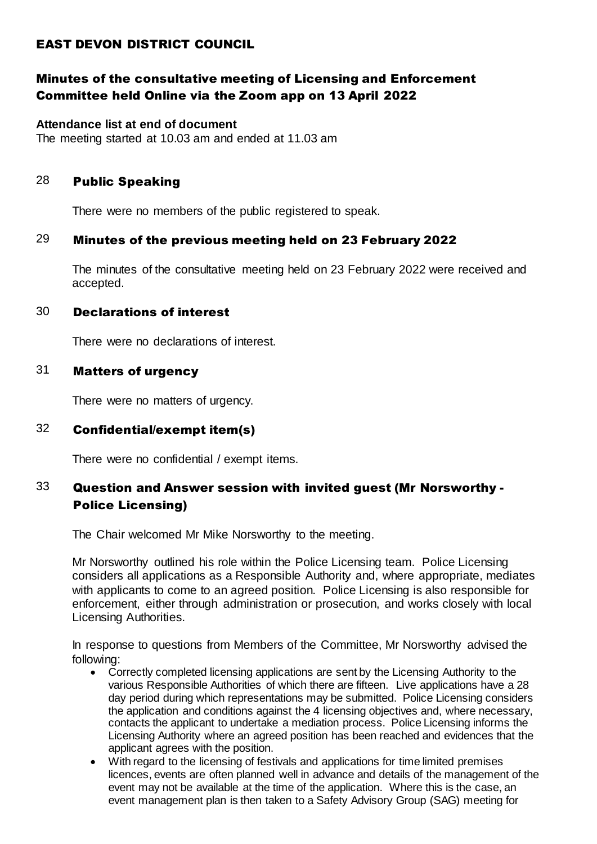## EAST DEVON DISTRICT COUNCIL

## Minutes of the consultative meeting of Licensing and Enforcement Committee held Online via the Zoom app on 13 April 2022

### **Attendance list at end of document**

The meeting started at 10.03 am and ended at 11.03 am

### 28 Public Speaking

There were no members of the public registered to speak.

## 29 Minutes of the previous meeting held on 23 February 2022

The minutes of the consultative meeting held on 23 February 2022 were received and accepted.

### 30 Declarations of interest

There were no declarations of interest.

## 31 Matters of urgency

There were no matters of urgency.

## 32 Confidential/exempt item(s)

There were no confidential / exempt items.

## 33 Question and Answer session with invited guest (Mr Norsworthy - Police Licensing)

The Chair welcomed Mr Mike Norsworthy to the meeting.

Mr Norsworthy outlined his role within the Police Licensing team. Police Licensing considers all applications as a Responsible Authority and, where appropriate, mediates with applicants to come to an agreed position. Police Licensing is also responsible for enforcement, either through administration or prosecution, and works closely with local Licensing Authorities.

In response to questions from Members of the Committee, Mr Norsworthy advised the following:

- Correctly completed licensing applications are sent by the Licensing Authority to the various Responsible Authorities of which there are fifteen. Live applications have a 28 day period during which representations may be submitted. Police Licensing considers the application and conditions against the 4 licensing objectives and, where necessary, contacts the applicant to undertake a mediation process. Police Licensing informs the Licensing Authority where an agreed position has been reached and evidences that the applicant agrees with the position.
- With regard to the licensing of festivals and applications for time limited premises licences, events are often planned well in advance and details of the management of the event may not be available at the time of the application. Where this is the case, an event management plan is then taken to a Safety Advisory Group (SAG) meeting for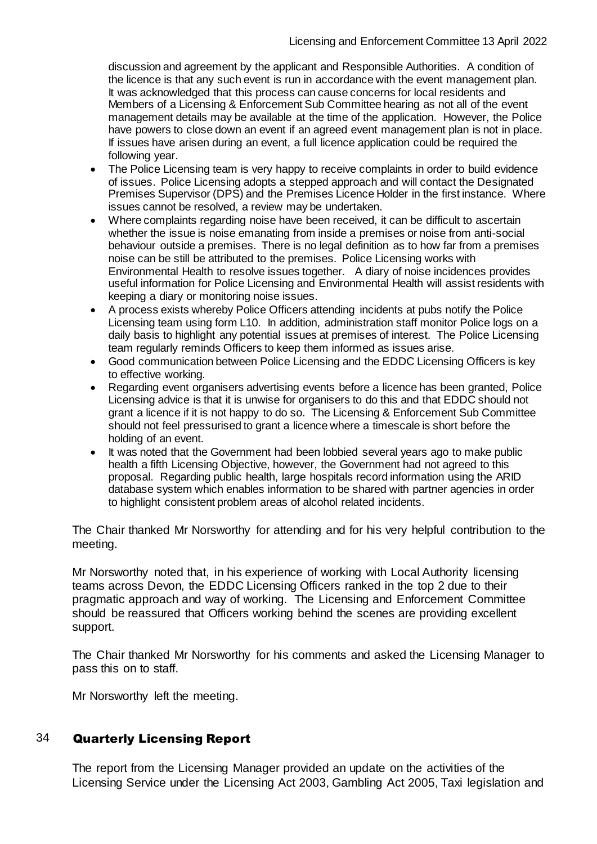discussion and agreement by the applicant and Responsible Authorities. A condition of the licence is that any such event is run in accordance with the event management plan. It was acknowledged that this process can cause concerns for local residents and Members of a Licensing & Enforcement Sub Committee hearing as not all of the event management details may be available at the time of the application. However, the Police have powers to close down an event if an agreed event management plan is not in place. If issues have arisen during an event, a full licence application could be required the following year.

- The Police Licensing team is very happy to receive complaints in order to build evidence of issues. Police Licensing adopts a stepped approach and will contact the Designated Premises Supervisor (DPS) and the Premises Licence Holder in the first instance. Where issues cannot be resolved, a review may be undertaken.
- Where complaints regarding noise have been received, it can be difficult to ascertain whether the issue is noise emanating from inside a premises or noise from anti-social behaviour outside a premises. There is no legal definition as to how far from a premises noise can be still be attributed to the premises. Police Licensing works with Environmental Health to resolve issues together. A diary of noise incidences provides useful information for Police Licensing and Environmental Health will assist residents with keeping a diary or monitoring noise issues.
- A process exists whereby Police Officers attending incidents at pubs notify the Police Licensing team using form L10. In addition, administration staff monitor Police logs on a daily basis to highlight any potential issues at premises of interest. The Police Licensing team regularly reminds Officers to keep them informed as issues arise.
- Good communication between Police Licensing and the EDDC Licensing Officers is key to effective working.
- Regarding event organisers advertising events before a licence has been granted, Police Licensing advice is that it is unwise for organisers to do this and that EDDC should not grant a licence if it is not happy to do so. The Licensing & Enforcement Sub Committee should not feel pressurised to grant a licence where a timescale is short before the holding of an event.
- It was noted that the Government had been lobbied several years ago to make public health a fifth Licensing Objective, however, the Government had not agreed to this proposal. Regarding public health, large hospitals record information using the ARID database system which enables information to be shared with partner agencies in order to highlight consistent problem areas of alcohol related incidents.

The Chair thanked Mr Norsworthy for attending and for his very helpful contribution to the meeting.

Mr Norsworthy noted that, in his experience of working with Local Authority licensing teams across Devon, the EDDC Licensing Officers ranked in the top 2 due to their pragmatic approach and way of working. The Licensing and Enforcement Committee should be reassured that Officers working behind the scenes are providing excellent support.

The Chair thanked Mr Norsworthy for his comments and asked the Licensing Manager to pass this on to staff.

Mr Norsworthy left the meeting.

### 34 Quarterly Licensing Report

The report from the Licensing Manager provided an update on the activities of the Licensing Service under the Licensing Act 2003, Gambling Act 2005, Taxi legislation and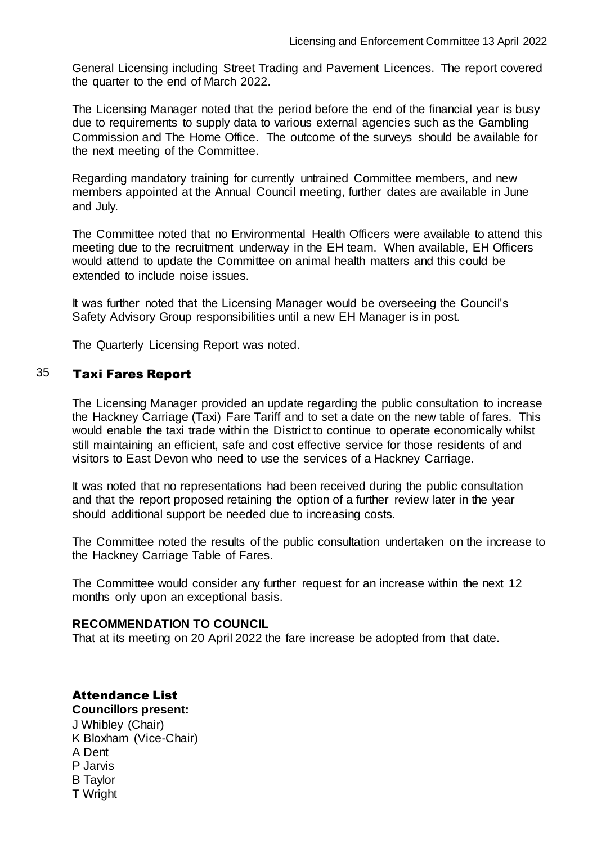General Licensing including Street Trading and Pavement Licences. The report covered the quarter to the end of March 2022.

The Licensing Manager noted that the period before the end of the financial year is busy due to requirements to supply data to various external agencies such as the Gambling Commission and The Home Office. The outcome of the surveys should be available for the next meeting of the Committee.

Regarding mandatory training for currently untrained Committee members, and new members appointed at the Annual Council meeting, further dates are available in June and July.

The Committee noted that no Environmental Health Officers were available to attend this meeting due to the recruitment underway in the EH team. When available, EH Officers would attend to update the Committee on animal health matters and this could be extended to include noise issues.

It was further noted that the Licensing Manager would be overseeing the Council's Safety Advisory Group responsibilities until a new EH Manager is in post.

The Quarterly Licensing Report was noted.

### 35 Taxi Fares Report

The Licensing Manager provided an update regarding the public consultation to increase the Hackney Carriage (Taxi) Fare Tariff and to set a date on the new table of fares. This would enable the taxi trade within the District to continue to operate economically whilst still maintaining an efficient, safe and cost effective service for those residents of and visitors to East Devon who need to use the services of a Hackney Carriage.

It was noted that no representations had been received during the public consultation and that the report proposed retaining the option of a further review later in the year should additional support be needed due to increasing costs.

The Committee noted the results of the public consultation undertaken on the increase to the Hackney Carriage Table of Fares.

The Committee would consider any further request for an increase within the next 12 months only upon an exceptional basis.

### **RECOMMENDATION TO COUNCIL**

That at its meeting on 20 April 2022 the fare increase be adopted from that date.

# Attendance List

**Councillors present:**

J Whibley (Chair) K Bloxham (Vice-Chair) A Dent P Jarvis B Taylor T Wright